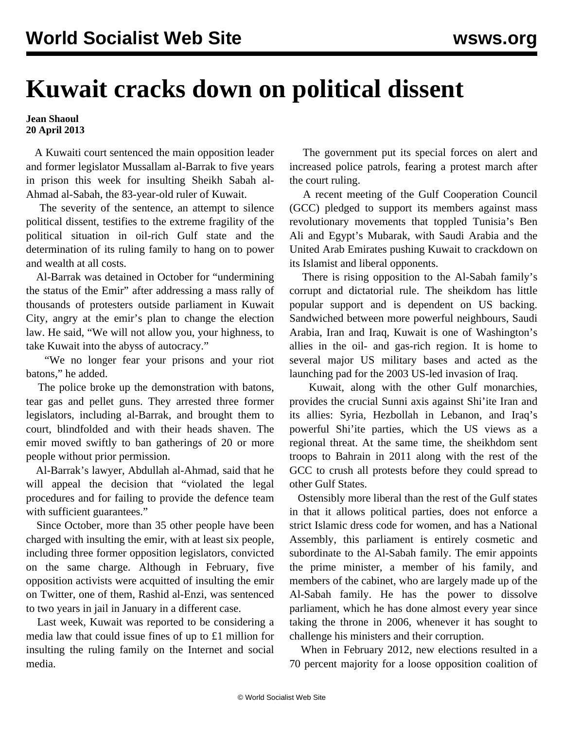## **Kuwait cracks down on political dissent**

**Jean Shaoul 20 April 2013**

 A Kuwaiti court sentenced the main opposition leader and former legislator Mussallam al-Barrak to five years in prison this week for insulting Sheikh Sabah al-Ahmad al-Sabah, the 83-year-old ruler of Kuwait.

 The severity of the sentence, an attempt to silence political dissent, testifies to the extreme fragility of the political situation in oil-rich Gulf state and the determination of its ruling family to hang on to power and wealth at all costs.

 Al-Barrak was detained in October for "undermining the status of the Emir" after addressing a mass rally of thousands of protesters outside parliament in Kuwait City, angry at the emir's plan to change the election law. He said, "We will not allow you, your highness, to take Kuwait into the abyss of autocracy."

 "We no longer fear your prisons and your riot batons," he added.

 The police broke up the demonstration with batons, tear gas and pellet guns. They arrested three former legislators, including al-Barrak, and brought them to court, blindfolded and with their heads shaven. The emir moved swiftly to ban gatherings of 20 or more people without prior permission.

 Al-Barrak's lawyer, Abdullah al-Ahmad, said that he will appeal the decision that "violated the legal procedures and for failing to provide the defence team with sufficient guarantees."

 Since October, more than 35 other people have been charged with insulting the emir, with at least six people, including three former opposition legislators, convicted on the same charge. Although in February, five opposition activists were acquitted of insulting the emir on Twitter, one of them, Rashid al-Enzi, was sentenced to two years in jail in January in a different case.

 Last week, Kuwait was reported to be considering a media law that could issue fines of up to £1 million for insulting the ruling family on the Internet and social media.

 The government put its special forces on alert and increased police patrols, fearing a protest march after the court ruling.

 A recent meeting of the Gulf Cooperation Council (GCC) pledged to support its members against mass revolutionary movements that toppled Tunisia's Ben Ali and Egypt's Mubarak, with Saudi Arabia and the United Arab Emirates pushing Kuwait to crackdown on its Islamist and liberal opponents.

 There is rising opposition to the Al-Sabah family's corrupt and dictatorial rule. The sheikdom has little popular support and is dependent on US backing. Sandwiched between more powerful neighbours, Saudi Arabia, Iran and Iraq, Kuwait is one of Washington's allies in the oil- and gas-rich region. It is home to several major US military bases and acted as the launching pad for the 2003 US-led invasion of Iraq.

 Kuwait, along with the other Gulf monarchies, provides the crucial Sunni axis against Shi'ite Iran and its allies: Syria, Hezbollah in Lebanon, and Iraq's powerful Shi'ite parties, which the US views as a regional threat. At the same time, the sheikhdom sent troops to Bahrain in 2011 along with the rest of the GCC to crush all protests before they could spread to other Gulf States.

 Ostensibly more liberal than the rest of the Gulf states in that it allows political parties, does not enforce a strict Islamic dress code for women, and has a National Assembly, this parliament is entirely cosmetic and subordinate to the Al-Sabah family. The emir appoints the prime minister, a member of his family, and members of the cabinet, who are largely made up of the Al-Sabah family. He has the power to dissolve parliament, which he has done almost every year since taking the throne in 2006, whenever it has sought to challenge his ministers and their corruption.

 When in February 2012, new elections resulted in a 70 percent majority for a loose opposition coalition of